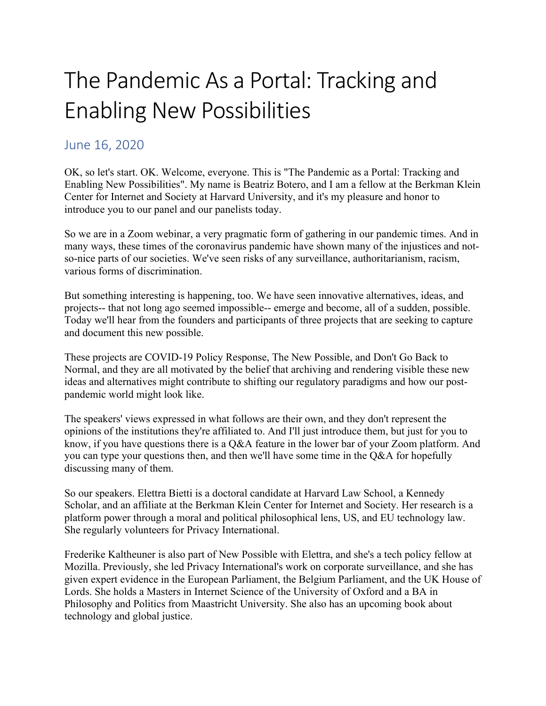## The Pandemic As a Portal: Tracking and Enabling New Possibilities

## June 16, 2020

OK, so let's start. OK. Welcome, everyone. This is "The Pandemic as a Portal: Tracking and Enabling New Possibilities". My name is Beatriz Botero, and I am a fellow at the Berkman Klein Center for Internet and Society at Harvard University, and it's my pleasure and honor to introduce you to our panel and our panelists today.

So we are in a Zoom webinar, a very pragmatic form of gathering in our pandemic times. And in many ways, these times of the coronavirus pandemic have shown many of the injustices and notso-nice parts of our societies. We've seen risks of any surveillance, authoritarianism, racism, various forms of discrimination.

But something interesting is happening, too. We have seen innovative alternatives, ideas, and projects-- that not long ago seemed impossible-- emerge and become, all of a sudden, possible. Today we'll hear from the founders and participants of three projects that are seeking to capture and document this new possible.

These projects are COVID-19 Policy Response, The New Possible, and Don't Go Back to Normal, and they are all motivated by the belief that archiving and rendering visible these new ideas and alternatives might contribute to shifting our regulatory paradigms and how our postpandemic world might look like.

The speakers' views expressed in what follows are their own, and they don't represent the opinions of the institutions they're affiliated to. And I'll just introduce them, but just for you to know, if you have questions there is a Q&A feature in the lower bar of your Zoom platform. And you can type your questions then, and then we'll have some time in the Q&A for hopefully discussing many of them.

So our speakers. Elettra Bietti is a doctoral candidate at Harvard Law School, a Kennedy Scholar, and an affiliate at the Berkman Klein Center for Internet and Society. Her research is a platform power through a moral and political philosophical lens, US, and EU technology law. She regularly volunteers for Privacy International.

Frederike Kaltheuner is also part of New Possible with Elettra, and she's a tech policy fellow at Mozilla. Previously, she led Privacy International's work on corporate surveillance, and she has given expert evidence in the European Parliament, the Belgium Parliament, and the UK House of Lords. She holds a Masters in Internet Science of the University of Oxford and a BA in Philosophy and Politics from Maastricht University. She also has an upcoming book about technology and global justice.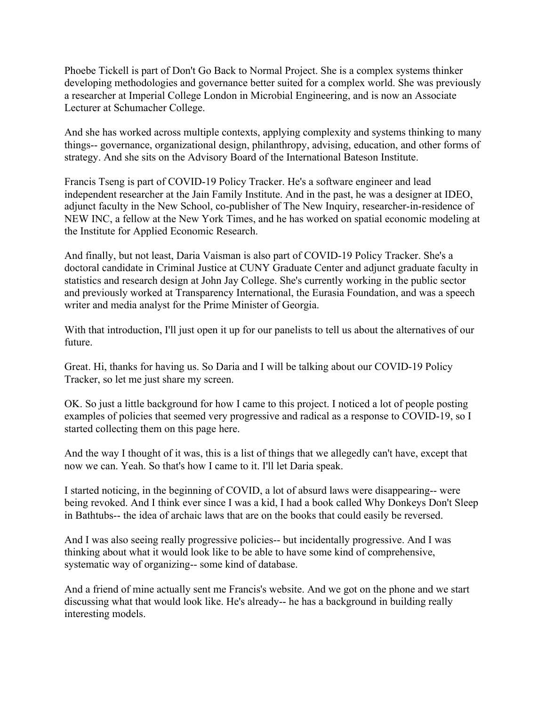Phoebe Tickell is part of Don't Go Back to Normal Project. She is a complex systems thinker developing methodologies and governance better suited for a complex world. She was previously a researcher at Imperial College London in Microbial Engineering, and is now an Associate Lecturer at Schumacher College.

And she has worked across multiple contexts, applying complexity and systems thinking to many things-- governance, organizational design, philanthropy, advising, education, and other forms of strategy. And she sits on the Advisory Board of the International Bateson Institute.

Francis Tseng is part of COVID-19 Policy Tracker. He's a software engineer and lead independent researcher at the Jain Family Institute. And in the past, he was a designer at IDEO, adjunct faculty in the New School, co-publisher of The New Inquiry, researcher-in-residence of NEW INC, a fellow at the New York Times, and he has worked on spatial economic modeling at the Institute for Applied Economic Research.

And finally, but not least, Daria Vaisman is also part of COVID-19 Policy Tracker. She's a doctoral candidate in Criminal Justice at CUNY Graduate Center and adjunct graduate faculty in statistics and research design at John Jay College. She's currently working in the public sector and previously worked at Transparency International, the Eurasia Foundation, and was a speech writer and media analyst for the Prime Minister of Georgia.

With that introduction, I'll just open it up for our panelists to tell us about the alternatives of our future.

Great. Hi, thanks for having us. So Daria and I will be talking about our COVID-19 Policy Tracker, so let me just share my screen.

OK. So just a little background for how I came to this project. I noticed a lot of people posting examples of policies that seemed very progressive and radical as a response to COVID-19, so I started collecting them on this page here.

And the way I thought of it was, this is a list of things that we allegedly can't have, except that now we can. Yeah. So that's how I came to it. I'll let Daria speak.

I started noticing, in the beginning of COVID, a lot of absurd laws were disappearing-- were being revoked. And I think ever since I was a kid, I had a book called Why Donkeys Don't Sleep in Bathtubs-- the idea of archaic laws that are on the books that could easily be reversed.

And I was also seeing really progressive policies-- but incidentally progressive. And I was thinking about what it would look like to be able to have some kind of comprehensive, systematic way of organizing-- some kind of database.

And a friend of mine actually sent me Francis's website. And we got on the phone and we start discussing what that would look like. He's already-- he has a background in building really interesting models.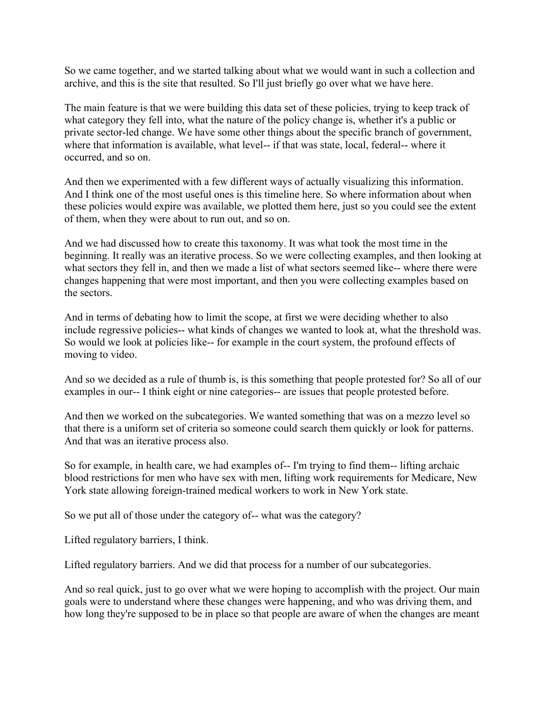So we came together, and we started talking about what we would want in such a collection and archive, and this is the site that resulted. So I'll just briefly go over what we have here.

The main feature is that we were building this data set of these policies, trying to keep track of what category they fell into, what the nature of the policy change is, whether it's a public or private sector-led change. We have some other things about the specific branch of government, where that information is available, what level-- if that was state, local, federal-- where it occurred, and so on.

And then we experimented with a few different ways of actually visualizing this information. And I think one of the most useful ones is this timeline here. So where information about when these policies would expire was available, we plotted them here, just so you could see the extent of them, when they were about to run out, and so on.

And we had discussed how to create this taxonomy. It was what took the most time in the beginning. It really was an iterative process. So we were collecting examples, and then looking at what sectors they fell in, and then we made a list of what sectors seemed like-- where there were changes happening that were most important, and then you were collecting examples based on the sectors.

And in terms of debating how to limit the scope, at first we were deciding whether to also include regressive policies-- what kinds of changes we wanted to look at, what the threshold was. So would we look at policies like-- for example in the court system, the profound effects of moving to video.

And so we decided as a rule of thumb is, is this something that people protested for? So all of our examples in our-- I think eight or nine categories-- are issues that people protested before.

And then we worked on the subcategories. We wanted something that was on a mezzo level so that there is a uniform set of criteria so someone could search them quickly or look for patterns. And that was an iterative process also.

So for example, in health care, we had examples of-- I'm trying to find them-- lifting archaic blood restrictions for men who have sex with men, lifting work requirements for Medicare, New York state allowing foreign-trained medical workers to work in New York state.

So we put all of those under the category of-- what was the category?

Lifted regulatory barriers, I think.

Lifted regulatory barriers. And we did that process for a number of our subcategories.

And so real quick, just to go over what we were hoping to accomplish with the project. Our main goals were to understand where these changes were happening, and who was driving them, and how long they're supposed to be in place so that people are aware of when the changes are meant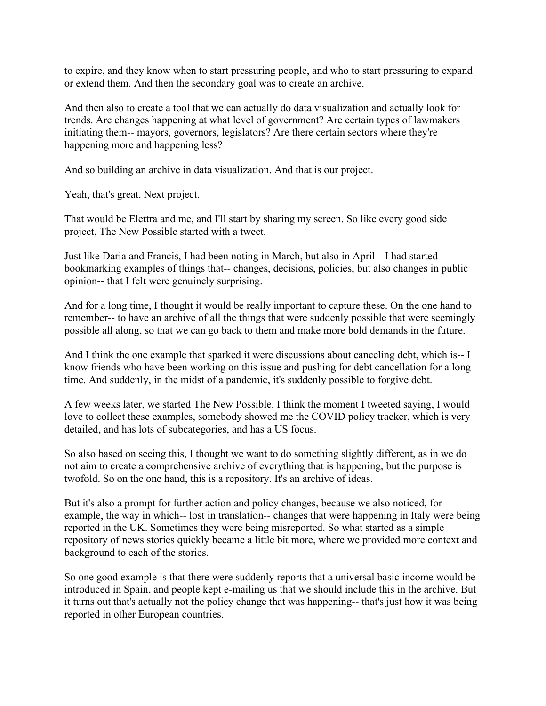to expire, and they know when to start pressuring people, and who to start pressuring to expand or extend them. And then the secondary goal was to create an archive.

And then also to create a tool that we can actually do data visualization and actually look for trends. Are changes happening at what level of government? Are certain types of lawmakers initiating them-- mayors, governors, legislators? Are there certain sectors where they're happening more and happening less?

And so building an archive in data visualization. And that is our project.

Yeah, that's great. Next project.

That would be Elettra and me, and I'll start by sharing my screen. So like every good side project, The New Possible started with a tweet.

Just like Daria and Francis, I had been noting in March, but also in April-- I had started bookmarking examples of things that-- changes, decisions, policies, but also changes in public opinion-- that I felt were genuinely surprising.

And for a long time, I thought it would be really important to capture these. On the one hand to remember-- to have an archive of all the things that were suddenly possible that were seemingly possible all along, so that we can go back to them and make more bold demands in the future.

And I think the one example that sparked it were discussions about canceling debt, which is-- I know friends who have been working on this issue and pushing for debt cancellation for a long time. And suddenly, in the midst of a pandemic, it's suddenly possible to forgive debt.

A few weeks later, we started The New Possible. I think the moment I tweeted saying, I would love to collect these examples, somebody showed me the COVID policy tracker, which is very detailed, and has lots of subcategories, and has a US focus.

So also based on seeing this, I thought we want to do something slightly different, as in we do not aim to create a comprehensive archive of everything that is happening, but the purpose is twofold. So on the one hand, this is a repository. It's an archive of ideas.

But it's also a prompt for further action and policy changes, because we also noticed, for example, the way in which-- lost in translation-- changes that were happening in Italy were being reported in the UK. Sometimes they were being misreported. So what started as a simple repository of news stories quickly became a little bit more, where we provided more context and background to each of the stories.

So one good example is that there were suddenly reports that a universal basic income would be introduced in Spain, and people kept e-mailing us that we should include this in the archive. But it turns out that's actually not the policy change that was happening-- that's just how it was being reported in other European countries.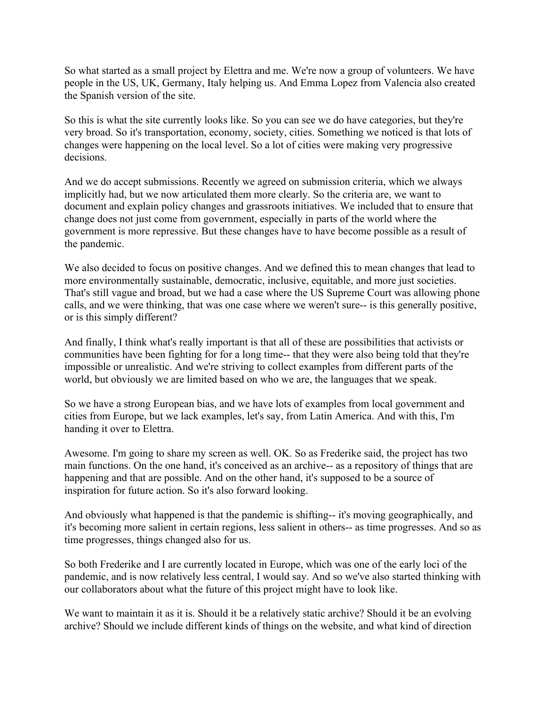So what started as a small project by Elettra and me. We're now a group of volunteers. We have people in the US, UK, Germany, Italy helping us. And Emma Lopez from Valencia also created the Spanish version of the site.

So this is what the site currently looks like. So you can see we do have categories, but they're very broad. So it's transportation, economy, society, cities. Something we noticed is that lots of changes were happening on the local level. So a lot of cities were making very progressive decisions.

And we do accept submissions. Recently we agreed on submission criteria, which we always implicitly had, but we now articulated them more clearly. So the criteria are, we want to document and explain policy changes and grassroots initiatives. We included that to ensure that change does not just come from government, especially in parts of the world where the government is more repressive. But these changes have to have become possible as a result of the pandemic.

We also decided to focus on positive changes. And we defined this to mean changes that lead to more environmentally sustainable, democratic, inclusive, equitable, and more just societies. That's still vague and broad, but we had a case where the US Supreme Court was allowing phone calls, and we were thinking, that was one case where we weren't sure-- is this generally positive, or is this simply different?

And finally, I think what's really important is that all of these are possibilities that activists or communities have been fighting for for a long time-- that they were also being told that they're impossible or unrealistic. And we're striving to collect examples from different parts of the world, but obviously we are limited based on who we are, the languages that we speak.

So we have a strong European bias, and we have lots of examples from local government and cities from Europe, but we lack examples, let's say, from Latin America. And with this, I'm handing it over to Elettra.

Awesome. I'm going to share my screen as well. OK. So as Frederike said, the project has two main functions. On the one hand, it's conceived as an archive-- as a repository of things that are happening and that are possible. And on the other hand, it's supposed to be a source of inspiration for future action. So it's also forward looking.

And obviously what happened is that the pandemic is shifting-- it's moving geographically, and it's becoming more salient in certain regions, less salient in others-- as time progresses. And so as time progresses, things changed also for us.

So both Frederike and I are currently located in Europe, which was one of the early loci of the pandemic, and is now relatively less central, I would say. And so we've also started thinking with our collaborators about what the future of this project might have to look like.

We want to maintain it as it is. Should it be a relatively static archive? Should it be an evolving archive? Should we include different kinds of things on the website, and what kind of direction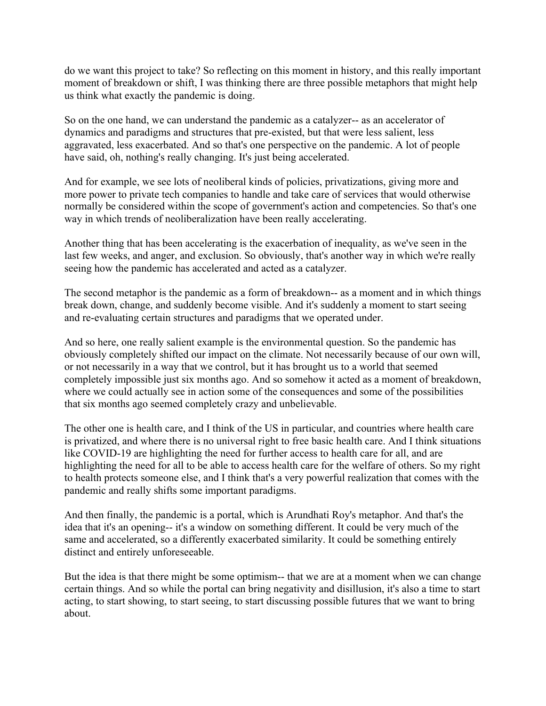do we want this project to take? So reflecting on this moment in history, and this really important moment of breakdown or shift, I was thinking there are three possible metaphors that might help us think what exactly the pandemic is doing.

So on the one hand, we can understand the pandemic as a catalyzer-- as an accelerator of dynamics and paradigms and structures that pre-existed, but that were less salient, less aggravated, less exacerbated. And so that's one perspective on the pandemic. A lot of people have said, oh, nothing's really changing. It's just being accelerated.

And for example, we see lots of neoliberal kinds of policies, privatizations, giving more and more power to private tech companies to handle and take care of services that would otherwise normally be considered within the scope of government's action and competencies. So that's one way in which trends of neoliberalization have been really accelerating.

Another thing that has been accelerating is the exacerbation of inequality, as we've seen in the last few weeks, and anger, and exclusion. So obviously, that's another way in which we're really seeing how the pandemic has accelerated and acted as a catalyzer.

The second metaphor is the pandemic as a form of breakdown-- as a moment and in which things break down, change, and suddenly become visible. And it's suddenly a moment to start seeing and re-evaluating certain structures and paradigms that we operated under.

And so here, one really salient example is the environmental question. So the pandemic has obviously completely shifted our impact on the climate. Not necessarily because of our own will, or not necessarily in a way that we control, but it has brought us to a world that seemed completely impossible just six months ago. And so somehow it acted as a moment of breakdown, where we could actually see in action some of the consequences and some of the possibilities that six months ago seemed completely crazy and unbelievable.

The other one is health care, and I think of the US in particular, and countries where health care is privatized, and where there is no universal right to free basic health care. And I think situations like COVID-19 are highlighting the need for further access to health care for all, and are highlighting the need for all to be able to access health care for the welfare of others. So my right to health protects someone else, and I think that's a very powerful realization that comes with the pandemic and really shifts some important paradigms.

And then finally, the pandemic is a portal, which is Arundhati Roy's metaphor. And that's the idea that it's an opening-- it's a window on something different. It could be very much of the same and accelerated, so a differently exacerbated similarity. It could be something entirely distinct and entirely unforeseeable.

But the idea is that there might be some optimism-- that we are at a moment when we can change certain things. And so while the portal can bring negativity and disillusion, it's also a time to start acting, to start showing, to start seeing, to start discussing possible futures that we want to bring about.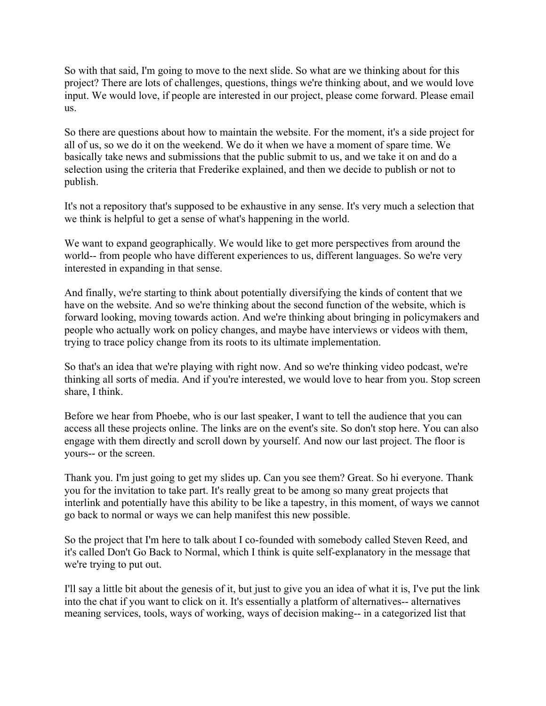So with that said, I'm going to move to the next slide. So what are we thinking about for this project? There are lots of challenges, questions, things we're thinking about, and we would love input. We would love, if people are interested in our project, please come forward. Please email us.

So there are questions about how to maintain the website. For the moment, it's a side project for all of us, so we do it on the weekend. We do it when we have a moment of spare time. We basically take news and submissions that the public submit to us, and we take it on and do a selection using the criteria that Frederike explained, and then we decide to publish or not to publish.

It's not a repository that's supposed to be exhaustive in any sense. It's very much a selection that we think is helpful to get a sense of what's happening in the world.

We want to expand geographically. We would like to get more perspectives from around the world-- from people who have different experiences to us, different languages. So we're very interested in expanding in that sense.

And finally, we're starting to think about potentially diversifying the kinds of content that we have on the website. And so we're thinking about the second function of the website, which is forward looking, moving towards action. And we're thinking about bringing in policymakers and people who actually work on policy changes, and maybe have interviews or videos with them, trying to trace policy change from its roots to its ultimate implementation.

So that's an idea that we're playing with right now. And so we're thinking video podcast, we're thinking all sorts of media. And if you're interested, we would love to hear from you. Stop screen share, I think.

Before we hear from Phoebe, who is our last speaker, I want to tell the audience that you can access all these projects online. The links are on the event's site. So don't stop here. You can also engage with them directly and scroll down by yourself. And now our last project. The floor is yours-- or the screen.

Thank you. I'm just going to get my slides up. Can you see them? Great. So hi everyone. Thank you for the invitation to take part. It's really great to be among so many great projects that interlink and potentially have this ability to be like a tapestry, in this moment, of ways we cannot go back to normal or ways we can help manifest this new possible.

So the project that I'm here to talk about I co-founded with somebody called Steven Reed, and it's called Don't Go Back to Normal, which I think is quite self-explanatory in the message that we're trying to put out.

I'll say a little bit about the genesis of it, but just to give you an idea of what it is, I've put the link into the chat if you want to click on it. It's essentially a platform of alternatives-- alternatives meaning services, tools, ways of working, ways of decision making-- in a categorized list that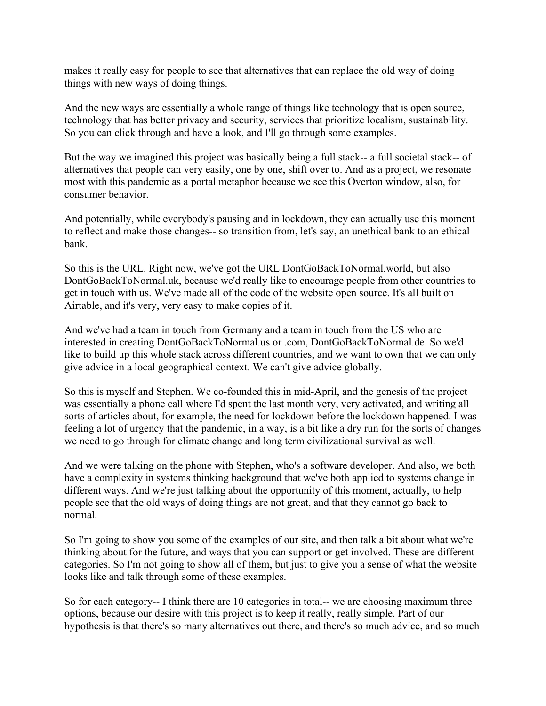makes it really easy for people to see that alternatives that can replace the old way of doing things with new ways of doing things.

And the new ways are essentially a whole range of things like technology that is open source, technology that has better privacy and security, services that prioritize localism, sustainability. So you can click through and have a look, and I'll go through some examples.

But the way we imagined this project was basically being a full stack-- a full societal stack-- of alternatives that people can very easily, one by one, shift over to. And as a project, we resonate most with this pandemic as a portal metaphor because we see this Overton window, also, for consumer behavior.

And potentially, while everybody's pausing and in lockdown, they can actually use this moment to reflect and make those changes-- so transition from, let's say, an unethical bank to an ethical bank.

So this is the URL. Right now, we've got the URL DontGoBackToNormal.world, but also DontGoBackToNormal.uk, because we'd really like to encourage people from other countries to get in touch with us. We've made all of the code of the website open source. It's all built on Airtable, and it's very, very easy to make copies of it.

And we've had a team in touch from Germany and a team in touch from the US who are interested in creating DontGoBackToNormal.us or .com, DontGoBackToNormal.de. So we'd like to build up this whole stack across different countries, and we want to own that we can only give advice in a local geographical context. We can't give advice globally.

So this is myself and Stephen. We co-founded this in mid-April, and the genesis of the project was essentially a phone call where I'd spent the last month very, very activated, and writing all sorts of articles about, for example, the need for lockdown before the lockdown happened. I was feeling a lot of urgency that the pandemic, in a way, is a bit like a dry run for the sorts of changes we need to go through for climate change and long term civilizational survival as well.

And we were talking on the phone with Stephen, who's a software developer. And also, we both have a complexity in systems thinking background that we've both applied to systems change in different ways. And we're just talking about the opportunity of this moment, actually, to help people see that the old ways of doing things are not great, and that they cannot go back to normal.

So I'm going to show you some of the examples of our site, and then talk a bit about what we're thinking about for the future, and ways that you can support or get involved. These are different categories. So I'm not going to show all of them, but just to give you a sense of what the website looks like and talk through some of these examples.

So for each category-- I think there are 10 categories in total-- we are choosing maximum three options, because our desire with this project is to keep it really, really simple. Part of our hypothesis is that there's so many alternatives out there, and there's so much advice, and so much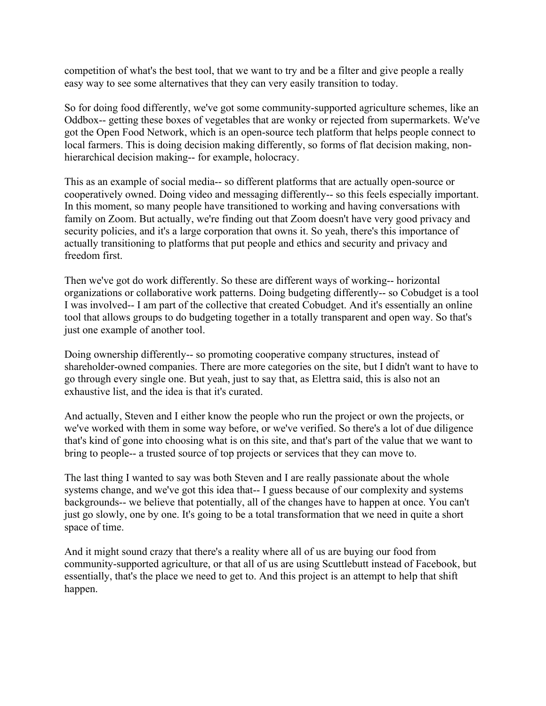competition of what's the best tool, that we want to try and be a filter and give people a really easy way to see some alternatives that they can very easily transition to today.

So for doing food differently, we've got some community-supported agriculture schemes, like an Oddbox-- getting these boxes of vegetables that are wonky or rejected from supermarkets. We've got the Open Food Network, which is an open-source tech platform that helps people connect to local farmers. This is doing decision making differently, so forms of flat decision making, nonhierarchical decision making-- for example, holocracy.

This as an example of social media-- so different platforms that are actually open-source or cooperatively owned. Doing video and messaging differently-- so this feels especially important. In this moment, so many people have transitioned to working and having conversations with family on Zoom. But actually, we're finding out that Zoom doesn't have very good privacy and security policies, and it's a large corporation that owns it. So yeah, there's this importance of actually transitioning to platforms that put people and ethics and security and privacy and freedom first.

Then we've got do work differently. So these are different ways of working-- horizontal organizations or collaborative work patterns. Doing budgeting differently-- so Cobudget is a tool I was involved-- I am part of the collective that created Cobudget. And it's essentially an online tool that allows groups to do budgeting together in a totally transparent and open way. So that's just one example of another tool.

Doing ownership differently-- so promoting cooperative company structures, instead of shareholder-owned companies. There are more categories on the site, but I didn't want to have to go through every single one. But yeah, just to say that, as Elettra said, this is also not an exhaustive list, and the idea is that it's curated.

And actually, Steven and I either know the people who run the project or own the projects, or we've worked with them in some way before, or we've verified. So there's a lot of due diligence that's kind of gone into choosing what is on this site, and that's part of the value that we want to bring to people-- a trusted source of top projects or services that they can move to.

The last thing I wanted to say was both Steven and I are really passionate about the whole systems change, and we've got this idea that-- I guess because of our complexity and systems backgrounds-- we believe that potentially, all of the changes have to happen at once. You can't just go slowly, one by one. It's going to be a total transformation that we need in quite a short space of time.

And it might sound crazy that there's a reality where all of us are buying our food from community-supported agriculture, or that all of us are using Scuttlebutt instead of Facebook, but essentially, that's the place we need to get to. And this project is an attempt to help that shift happen.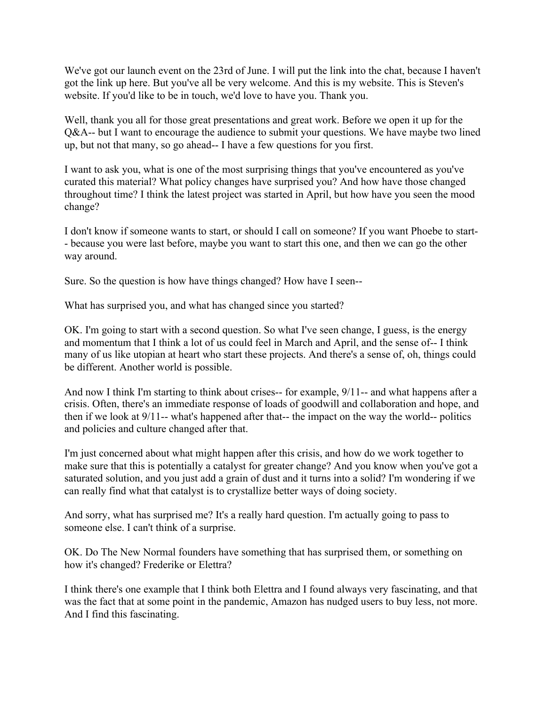We've got our launch event on the 23rd of June. I will put the link into the chat, because I haven't got the link up here. But you've all be very welcome. And this is my website. This is Steven's website. If you'd like to be in touch, we'd love to have you. Thank you.

Well, thank you all for those great presentations and great work. Before we open it up for the Q&A-- but I want to encourage the audience to submit your questions. We have maybe two lined up, but not that many, so go ahead-- I have a few questions for you first.

I want to ask you, what is one of the most surprising things that you've encountered as you've curated this material? What policy changes have surprised you? And how have those changed throughout time? I think the latest project was started in April, but how have you seen the mood change?

I don't know if someone wants to start, or should I call on someone? If you want Phoebe to start- - because you were last before, maybe you want to start this one, and then we can go the other way around.

Sure. So the question is how have things changed? How have I seen--

What has surprised you, and what has changed since you started?

OK. I'm going to start with a second question. So what I've seen change, I guess, is the energy and momentum that I think a lot of us could feel in March and April, and the sense of-- I think many of us like utopian at heart who start these projects. And there's a sense of, oh, things could be different. Another world is possible.

And now I think I'm starting to think about crises-- for example, 9/11-- and what happens after a crisis. Often, there's an immediate response of loads of goodwill and collaboration and hope, and then if we look at 9/11-- what's happened after that-- the impact on the way the world-- politics and policies and culture changed after that.

I'm just concerned about what might happen after this crisis, and how do we work together to make sure that this is potentially a catalyst for greater change? And you know when you've got a saturated solution, and you just add a grain of dust and it turns into a solid? I'm wondering if we can really find what that catalyst is to crystallize better ways of doing society.

And sorry, what has surprised me? It's a really hard question. I'm actually going to pass to someone else. I can't think of a surprise.

OK. Do The New Normal founders have something that has surprised them, or something on how it's changed? Frederike or Elettra?

I think there's one example that I think both Elettra and I found always very fascinating, and that was the fact that at some point in the pandemic, Amazon has nudged users to buy less, not more. And I find this fascinating.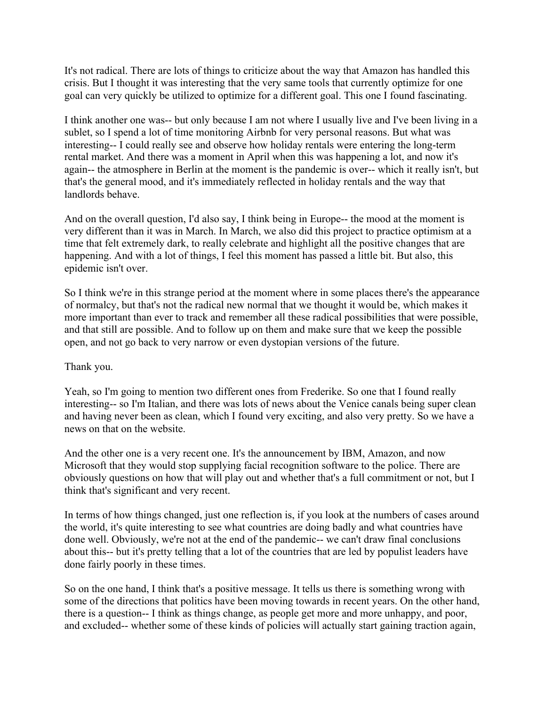It's not radical. There are lots of things to criticize about the way that Amazon has handled this crisis. But I thought it was interesting that the very same tools that currently optimize for one goal can very quickly be utilized to optimize for a different goal. This one I found fascinating.

I think another one was-- but only because I am not where I usually live and I've been living in a sublet, so I spend a lot of time monitoring Airbnb for very personal reasons. But what was interesting-- I could really see and observe how holiday rentals were entering the long-term rental market. And there was a moment in April when this was happening a lot, and now it's again-- the atmosphere in Berlin at the moment is the pandemic is over-- which it really isn't, but that's the general mood, and it's immediately reflected in holiday rentals and the way that landlords behave.

And on the overall question, I'd also say, I think being in Europe-- the mood at the moment is very different than it was in March. In March, we also did this project to practice optimism at a time that felt extremely dark, to really celebrate and highlight all the positive changes that are happening. And with a lot of things, I feel this moment has passed a little bit. But also, this epidemic isn't over.

So I think we're in this strange period at the moment where in some places there's the appearance of normalcy, but that's not the radical new normal that we thought it would be, which makes it more important than ever to track and remember all these radical possibilities that were possible, and that still are possible. And to follow up on them and make sure that we keep the possible open, and not go back to very narrow or even dystopian versions of the future.

## Thank you.

Yeah, so I'm going to mention two different ones from Frederike. So one that I found really interesting-- so I'm Italian, and there was lots of news about the Venice canals being super clean and having never been as clean, which I found very exciting, and also very pretty. So we have a news on that on the website.

And the other one is a very recent one. It's the announcement by IBM, Amazon, and now Microsoft that they would stop supplying facial recognition software to the police. There are obviously questions on how that will play out and whether that's a full commitment or not, but I think that's significant and very recent.

In terms of how things changed, just one reflection is, if you look at the numbers of cases around the world, it's quite interesting to see what countries are doing badly and what countries have done well. Obviously, we're not at the end of the pandemic-- we can't draw final conclusions about this-- but it's pretty telling that a lot of the countries that are led by populist leaders have done fairly poorly in these times.

So on the one hand, I think that's a positive message. It tells us there is something wrong with some of the directions that politics have been moving towards in recent years. On the other hand, there is a question-- I think as things change, as people get more and more unhappy, and poor, and excluded-- whether some of these kinds of policies will actually start gaining traction again,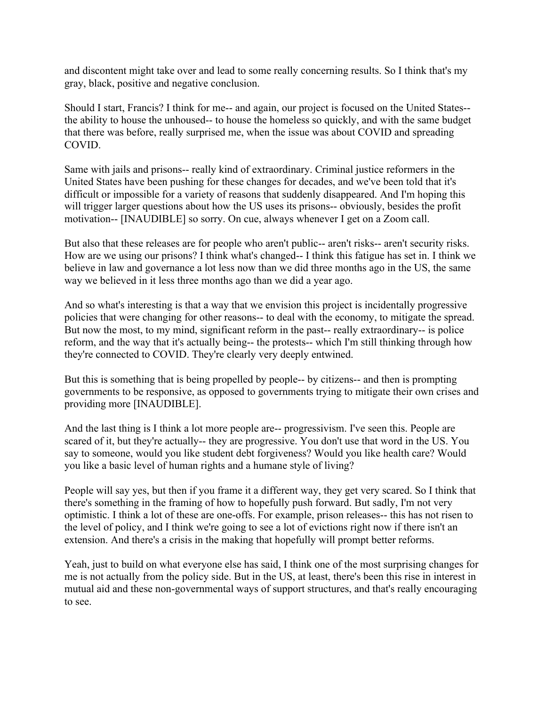and discontent might take over and lead to some really concerning results. So I think that's my gray, black, positive and negative conclusion.

Should I start, Francis? I think for me-- and again, our project is focused on the United States- the ability to house the unhoused-- to house the homeless so quickly, and with the same budget that there was before, really surprised me, when the issue was about COVID and spreading COVID.

Same with jails and prisons-- really kind of extraordinary. Criminal justice reformers in the United States have been pushing for these changes for decades, and we've been told that it's difficult or impossible for a variety of reasons that suddenly disappeared. And I'm hoping this will trigger larger questions about how the US uses its prisons-- obviously, besides the profit motivation-- [INAUDIBLE] so sorry. On cue, always whenever I get on a Zoom call.

But also that these releases are for people who aren't public-- aren't risks-- aren't security risks. How are we using our prisons? I think what's changed-- I think this fatigue has set in. I think we believe in law and governance a lot less now than we did three months ago in the US, the same way we believed in it less three months ago than we did a year ago.

And so what's interesting is that a way that we envision this project is incidentally progressive policies that were changing for other reasons-- to deal with the economy, to mitigate the spread. But now the most, to my mind, significant reform in the past-- really extraordinary-- is police reform, and the way that it's actually being-- the protests-- which I'm still thinking through how they're connected to COVID. They're clearly very deeply entwined.

But this is something that is being propelled by people-- by citizens-- and then is prompting governments to be responsive, as opposed to governments trying to mitigate their own crises and providing more [INAUDIBLE].

And the last thing is I think a lot more people are-- progressivism. I've seen this. People are scared of it, but they're actually-- they are progressive. You don't use that word in the US. You say to someone, would you like student debt forgiveness? Would you like health care? Would you like a basic level of human rights and a humane style of living?

People will say yes, but then if you frame it a different way, they get very scared. So I think that there's something in the framing of how to hopefully push forward. But sadly, I'm not very optimistic. I think a lot of these are one-offs. For example, prison releases-- this has not risen to the level of policy, and I think we're going to see a lot of evictions right now if there isn't an extension. And there's a crisis in the making that hopefully will prompt better reforms.

Yeah, just to build on what everyone else has said, I think one of the most surprising changes for me is not actually from the policy side. But in the US, at least, there's been this rise in interest in mutual aid and these non-governmental ways of support structures, and that's really encouraging to see.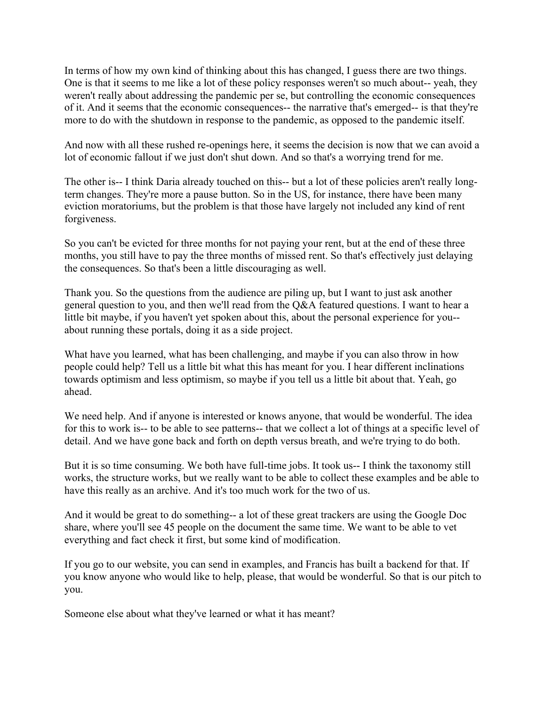In terms of how my own kind of thinking about this has changed, I guess there are two things. One is that it seems to me like a lot of these policy responses weren't so much about-- yeah, they weren't really about addressing the pandemic per se, but controlling the economic consequences of it. And it seems that the economic consequences-- the narrative that's emerged-- is that they're more to do with the shutdown in response to the pandemic, as opposed to the pandemic itself.

And now with all these rushed re-openings here, it seems the decision is now that we can avoid a lot of economic fallout if we just don't shut down. And so that's a worrying trend for me.

The other is-- I think Daria already touched on this-- but a lot of these policies aren't really longterm changes. They're more a pause button. So in the US, for instance, there have been many eviction moratoriums, but the problem is that those have largely not included any kind of rent forgiveness.

So you can't be evicted for three months for not paying your rent, but at the end of these three months, you still have to pay the three months of missed rent. So that's effectively just delaying the consequences. So that's been a little discouraging as well.

Thank you. So the questions from the audience are piling up, but I want to just ask another general question to you, and then we'll read from the Q&A featured questions. I want to hear a little bit maybe, if you haven't yet spoken about this, about the personal experience for you- about running these portals, doing it as a side project.

What have you learned, what has been challenging, and maybe if you can also throw in how people could help? Tell us a little bit what this has meant for you. I hear different inclinations towards optimism and less optimism, so maybe if you tell us a little bit about that. Yeah, go ahead.

We need help. And if anyone is interested or knows anyone, that would be wonderful. The idea for this to work is-- to be able to see patterns-- that we collect a lot of things at a specific level of detail. And we have gone back and forth on depth versus breath, and we're trying to do both.

But it is so time consuming. We both have full-time jobs. It took us-- I think the taxonomy still works, the structure works, but we really want to be able to collect these examples and be able to have this really as an archive. And it's too much work for the two of us.

And it would be great to do something-- a lot of these great trackers are using the Google Doc share, where you'll see 45 people on the document the same time. We want to be able to vet everything and fact check it first, but some kind of modification.

If you go to our website, you can send in examples, and Francis has built a backend for that. If you know anyone who would like to help, please, that would be wonderful. So that is our pitch to you.

Someone else about what they've learned or what it has meant?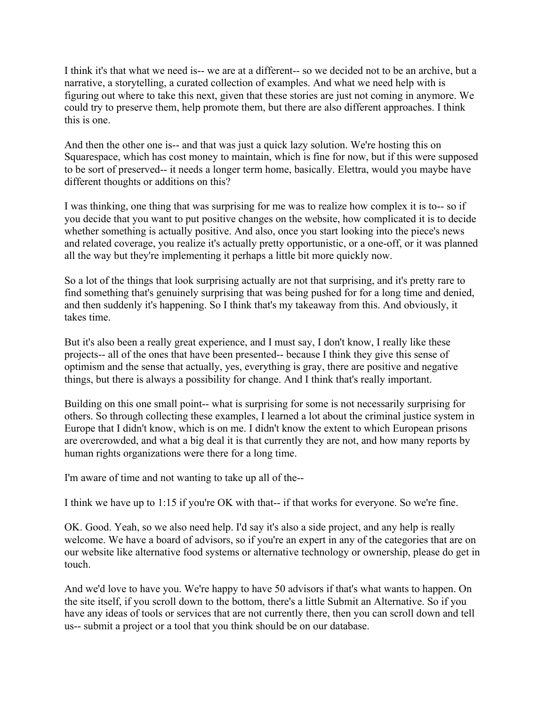I think it's that what we need is-- we are at a different-- so we decided not to be an archive, but a narrative, a storytelling, a curated collection of examples. And what we need help with is figuring out where to take this next, given that these stories are just not coming in anymore. We could try to preserve them, help promote them, but there are also different approaches. I think this is one.

And then the other one is-- and that was just a quick lazy solution. We're hosting this on Squarespace, which has cost money to maintain, which is fine for now, but if this were supposed to be sort of preserved-- it needs a longer term home, basically. Elettra, would you maybe have different thoughts or additions on this?

I was thinking, one thing that was surprising for me was to realize how complex it is to-- so if you decide that you want to put positive changes on the website, how complicated it is to decide whether something is actually positive. And also, once you start looking into the piece's news and related coverage, you realize it's actually pretty opportunistic, or a one-off, or it was planned all the way but they're implementing it perhaps a little bit more quickly now.

So a lot of the things that look surprising actually are not that surprising, and it's pretty rare to find something that's genuinely surprising that was being pushed for for a long time and denied, and then suddenly it's happening. So I think that's my takeaway from this. And obviously, it takes time.

But it's also been a really great experience, and I must say, I don't know, I really like these projects-- all of the ones that have been presented-- because I think they give this sense of optimism and the sense that actually, yes, everything is gray, there are positive and negative things, but there is always a possibility for change. And I think that's really important.

Building on this one small point-- what is surprising for some is not necessarily surprising for others. So through collecting these examples, I learned a lot about the criminal justice system in Europe that I didn't know, which is on me. I didn't know the extent to which European prisons are overcrowded, and what a big deal it is that currently they are not, and how many reports by human rights organizations were there for a long time.

I'm aware of time and not wanting to take up all of the--

I think we have up to 1:15 if you're OK with that-- if that works for everyone. So we're fine.

OK. Good. Yeah, so we also need help. I'd say it's also a side project, and any help is really welcome. We have a board of advisors, so if you're an expert in any of the categories that are on our website like alternative food systems or alternative technology or ownership, please do get in touch.

And we'd love to have you. We're happy to have 50 advisors if that's what wants to happen. On the site itself, if you scroll down to the bottom, there's a little Submit an Alternative. So if you have any ideas of tools or services that are not currently there, then you can scroll down and tell us-- submit a project or a tool that you think should be on our database.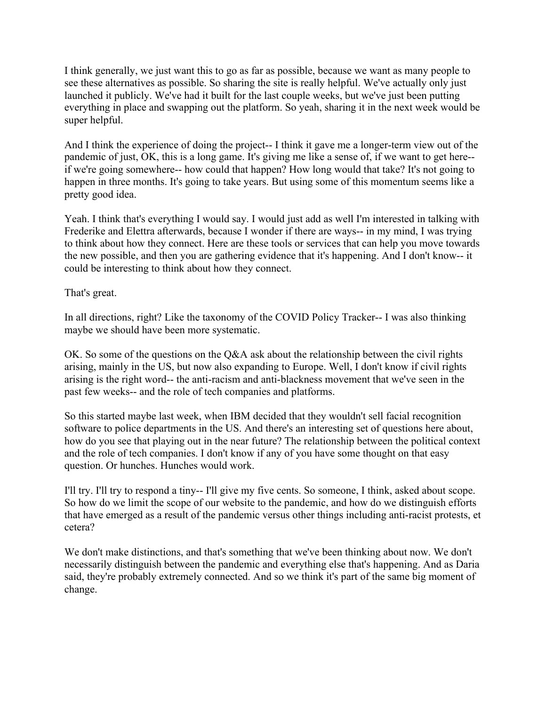I think generally, we just want this to go as far as possible, because we want as many people to see these alternatives as possible. So sharing the site is really helpful. We've actually only just launched it publicly. We've had it built for the last couple weeks, but we've just been putting everything in place and swapping out the platform. So yeah, sharing it in the next week would be super helpful.

And I think the experience of doing the project-- I think it gave me a longer-term view out of the pandemic of just, OK, this is a long game. It's giving me like a sense of, if we want to get here- if we're going somewhere-- how could that happen? How long would that take? It's not going to happen in three months. It's going to take years. But using some of this momentum seems like a pretty good idea.

Yeah. I think that's everything I would say. I would just add as well I'm interested in talking with Frederike and Elettra afterwards, because I wonder if there are ways-- in my mind, I was trying to think about how they connect. Here are these tools or services that can help you move towards the new possible, and then you are gathering evidence that it's happening. And I don't know-- it could be interesting to think about how they connect.

That's great.

In all directions, right? Like the taxonomy of the COVID Policy Tracker-- I was also thinking maybe we should have been more systematic.

OK. So some of the questions on the Q&A ask about the relationship between the civil rights arising, mainly in the US, but now also expanding to Europe. Well, I don't know if civil rights arising is the right word-- the anti-racism and anti-blackness movement that we've seen in the past few weeks-- and the role of tech companies and platforms.

So this started maybe last week, when IBM decided that they wouldn't sell facial recognition software to police departments in the US. And there's an interesting set of questions here about, how do you see that playing out in the near future? The relationship between the political context and the role of tech companies. I don't know if any of you have some thought on that easy question. Or hunches. Hunches would work.

I'll try. I'll try to respond a tiny-- I'll give my five cents. So someone, I think, asked about scope. So how do we limit the scope of our website to the pandemic, and how do we distinguish efforts that have emerged as a result of the pandemic versus other things including anti-racist protests, et cetera?

We don't make distinctions, and that's something that we've been thinking about now. We don't necessarily distinguish between the pandemic and everything else that's happening. And as Daria said, they're probably extremely connected. And so we think it's part of the same big moment of change.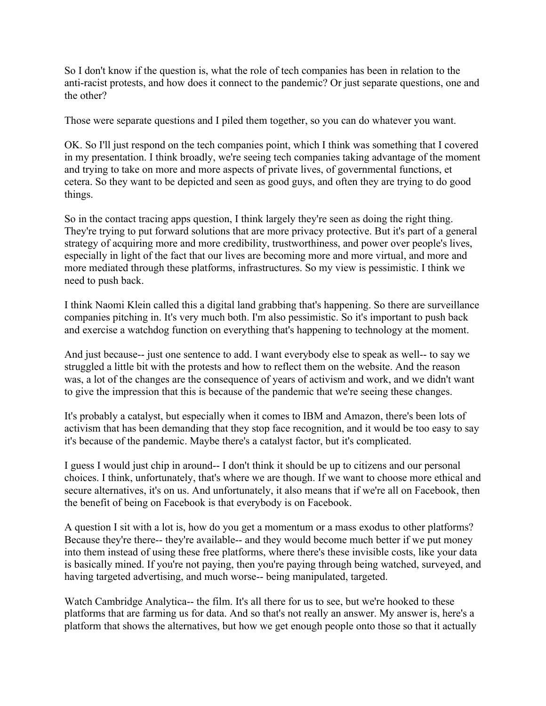So I don't know if the question is, what the role of tech companies has been in relation to the anti-racist protests, and how does it connect to the pandemic? Or just separate questions, one and the other?

Those were separate questions and I piled them together, so you can do whatever you want.

OK. So I'll just respond on the tech companies point, which I think was something that I covered in my presentation. I think broadly, we're seeing tech companies taking advantage of the moment and trying to take on more and more aspects of private lives, of governmental functions, et cetera. So they want to be depicted and seen as good guys, and often they are trying to do good things.

So in the contact tracing apps question, I think largely they're seen as doing the right thing. They're trying to put forward solutions that are more privacy protective. But it's part of a general strategy of acquiring more and more credibility, trustworthiness, and power over people's lives, especially in light of the fact that our lives are becoming more and more virtual, and more and more mediated through these platforms, infrastructures. So my view is pessimistic. I think we need to push back.

I think Naomi Klein called this a digital land grabbing that's happening. So there are surveillance companies pitching in. It's very much both. I'm also pessimistic. So it's important to push back and exercise a watchdog function on everything that's happening to technology at the moment.

And just because-- just one sentence to add. I want everybody else to speak as well-- to say we struggled a little bit with the protests and how to reflect them on the website. And the reason was, a lot of the changes are the consequence of years of activism and work, and we didn't want to give the impression that this is because of the pandemic that we're seeing these changes.

It's probably a catalyst, but especially when it comes to IBM and Amazon, there's been lots of activism that has been demanding that they stop face recognition, and it would be too easy to say it's because of the pandemic. Maybe there's a catalyst factor, but it's complicated.

I guess I would just chip in around-- I don't think it should be up to citizens and our personal choices. I think, unfortunately, that's where we are though. If we want to choose more ethical and secure alternatives, it's on us. And unfortunately, it also means that if we're all on Facebook, then the benefit of being on Facebook is that everybody is on Facebook.

A question I sit with a lot is, how do you get a momentum or a mass exodus to other platforms? Because they're there-- they're available-- and they would become much better if we put money into them instead of using these free platforms, where there's these invisible costs, like your data is basically mined. If you're not paying, then you're paying through being watched, surveyed, and having targeted advertising, and much worse-- being manipulated, targeted.

Watch Cambridge Analytica-- the film. It's all there for us to see, but we're hooked to these platforms that are farming us for data. And so that's not really an answer. My answer is, here's a platform that shows the alternatives, but how we get enough people onto those so that it actually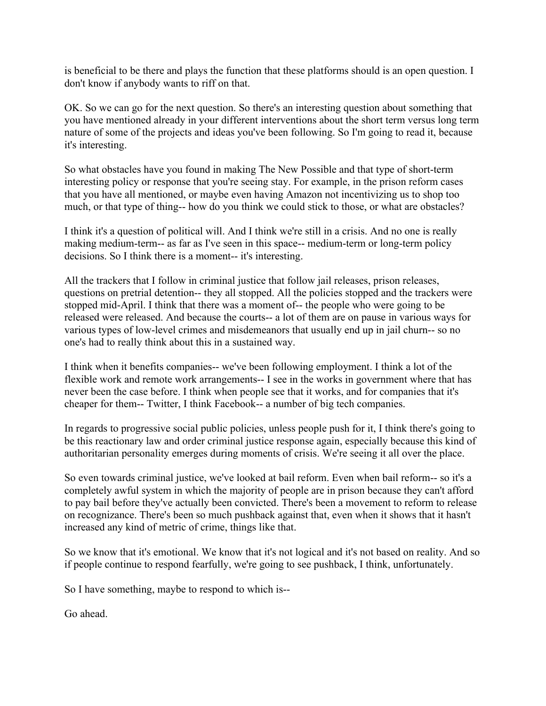is beneficial to be there and plays the function that these platforms should is an open question. I don't know if anybody wants to riff on that.

OK. So we can go for the next question. So there's an interesting question about something that you have mentioned already in your different interventions about the short term versus long term nature of some of the projects and ideas you've been following. So I'm going to read it, because it's interesting.

So what obstacles have you found in making The New Possible and that type of short-term interesting policy or response that you're seeing stay. For example, in the prison reform cases that you have all mentioned, or maybe even having Amazon not incentivizing us to shop too much, or that type of thing-- how do you think we could stick to those, or what are obstacles?

I think it's a question of political will. And I think we're still in a crisis. And no one is really making medium-term-- as far as I've seen in this space-- medium-term or long-term policy decisions. So I think there is a moment-- it's interesting.

All the trackers that I follow in criminal justice that follow jail releases, prison releases, questions on pretrial detention-- they all stopped. All the policies stopped and the trackers were stopped mid-April. I think that there was a moment of-- the people who were going to be released were released. And because the courts-- a lot of them are on pause in various ways for various types of low-level crimes and misdemeanors that usually end up in jail churn-- so no one's had to really think about this in a sustained way.

I think when it benefits companies-- we've been following employment. I think a lot of the flexible work and remote work arrangements-- I see in the works in government where that has never been the case before. I think when people see that it works, and for companies that it's cheaper for them-- Twitter, I think Facebook-- a number of big tech companies.

In regards to progressive social public policies, unless people push for it, I think there's going to be this reactionary law and order criminal justice response again, especially because this kind of authoritarian personality emerges during moments of crisis. We're seeing it all over the place.

So even towards criminal justice, we've looked at bail reform. Even when bail reform-- so it's a completely awful system in which the majority of people are in prison because they can't afford to pay bail before they've actually been convicted. There's been a movement to reform to release on recognizance. There's been so much pushback against that, even when it shows that it hasn't increased any kind of metric of crime, things like that.

So we know that it's emotional. We know that it's not logical and it's not based on reality. And so if people continue to respond fearfully, we're going to see pushback, I think, unfortunately.

So I have something, maybe to respond to which is--

Go ahead.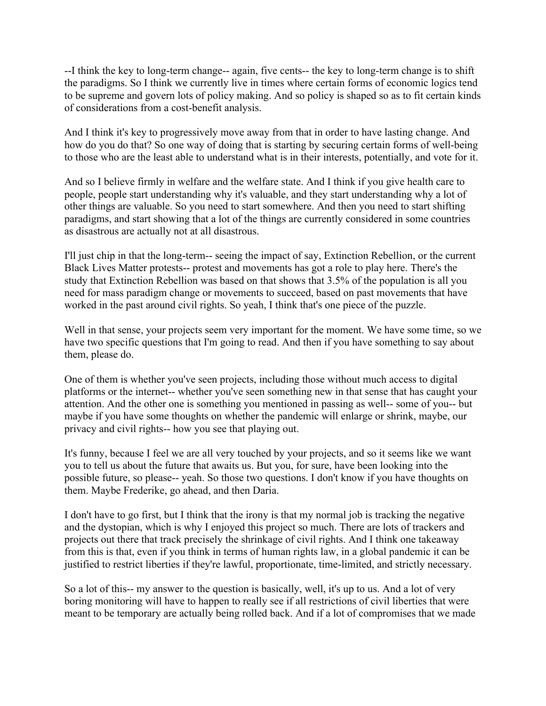--I think the key to long-term change-- again, five cents-- the key to long-term change is to shift the paradigms. So I think we currently live in times where certain forms of economic logics tend to be supreme and govern lots of policy making. And so policy is shaped so as to fit certain kinds of considerations from a cost-benefit analysis.

And I think it's key to progressively move away from that in order to have lasting change. And how do you do that? So one way of doing that is starting by securing certain forms of well-being to those who are the least able to understand what is in their interests, potentially, and vote for it.

And so I believe firmly in welfare and the welfare state. And I think if you give health care to people, people start understanding why it's valuable, and they start understanding why a lot of other things are valuable. So you need to start somewhere. And then you need to start shifting paradigms, and start showing that a lot of the things are currently considered in some countries as disastrous are actually not at all disastrous.

I'll just chip in that the long-term-- seeing the impact of say, Extinction Rebellion, or the current Black Lives Matter protests-- protest and movements has got a role to play here. There's the study that Extinction Rebellion was based on that shows that 3.5% of the population is all you need for mass paradigm change or movements to succeed, based on past movements that have worked in the past around civil rights. So yeah, I think that's one piece of the puzzle.

Well in that sense, your projects seem very important for the moment. We have some time, so we have two specific questions that I'm going to read. And then if you have something to say about them, please do.

One of them is whether you've seen projects, including those without much access to digital platforms or the internet-- whether you've seen something new in that sense that has caught your attention. And the other one is something you mentioned in passing as well-- some of you-- but maybe if you have some thoughts on whether the pandemic will enlarge or shrink, maybe, our privacy and civil rights-- how you see that playing out.

It's funny, because I feel we are all very touched by your projects, and so it seems like we want you to tell us about the future that awaits us. But you, for sure, have been looking into the possible future, so please-- yeah. So those two questions. I don't know if you have thoughts on them. Maybe Frederike, go ahead, and then Daria.

I don't have to go first, but I think that the irony is that my normal job is tracking the negative and the dystopian, which is why I enjoyed this project so much. There are lots of trackers and projects out there that track precisely the shrinkage of civil rights. And I think one takeaway from this is that, even if you think in terms of human rights law, in a global pandemic it can be justified to restrict liberties if they're lawful, proportionate, time-limited, and strictly necessary.

So a lot of this-- my answer to the question is basically, well, it's up to us. And a lot of very boring monitoring will have to happen to really see if all restrictions of civil liberties that were meant to be temporary are actually being rolled back. And if a lot of compromises that we made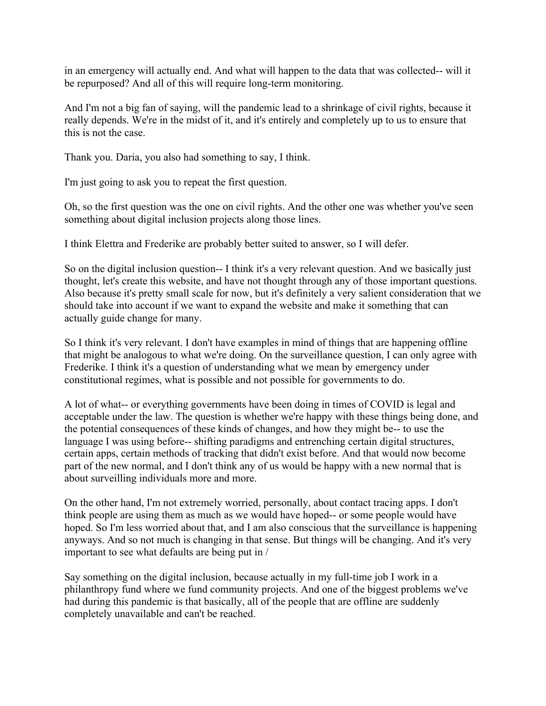in an emergency will actually end. And what will happen to the data that was collected-- will it be repurposed? And all of this will require long-term monitoring.

And I'm not a big fan of saying, will the pandemic lead to a shrinkage of civil rights, because it really depends. We're in the midst of it, and it's entirely and completely up to us to ensure that this is not the case.

Thank you. Daria, you also had something to say, I think.

I'm just going to ask you to repeat the first question.

Oh, so the first question was the one on civil rights. And the other one was whether you've seen something about digital inclusion projects along those lines.

I think Elettra and Frederike are probably better suited to answer, so I will defer.

So on the digital inclusion question-- I think it's a very relevant question. And we basically just thought, let's create this website, and have not thought through any of those important questions. Also because it's pretty small scale for now, but it's definitely a very salient consideration that we should take into account if we want to expand the website and make it something that can actually guide change for many.

So I think it's very relevant. I don't have examples in mind of things that are happening offline that might be analogous to what we're doing. On the surveillance question, I can only agree with Frederike. I think it's a question of understanding what we mean by emergency under constitutional regimes, what is possible and not possible for governments to do.

A lot of what-- or everything governments have been doing in times of COVID is legal and acceptable under the law. The question is whether we're happy with these things being done, and the potential consequences of these kinds of changes, and how they might be-- to use the language I was using before-- shifting paradigms and entrenching certain digital structures, certain apps, certain methods of tracking that didn't exist before. And that would now become part of the new normal, and I don't think any of us would be happy with a new normal that is about surveilling individuals more and more.

On the other hand, I'm not extremely worried, personally, about contact tracing apps. I don't think people are using them as much as we would have hoped-- or some people would have hoped. So I'm less worried about that, and I am also conscious that the surveillance is happening anyways. And so not much is changing in that sense. But things will be changing. And it's very important to see what defaults are being put in /

Say something on the digital inclusion, because actually in my full-time job I work in a philanthropy fund where we fund community projects. And one of the biggest problems we've had during this pandemic is that basically, all of the people that are offline are suddenly completely unavailable and can't be reached.